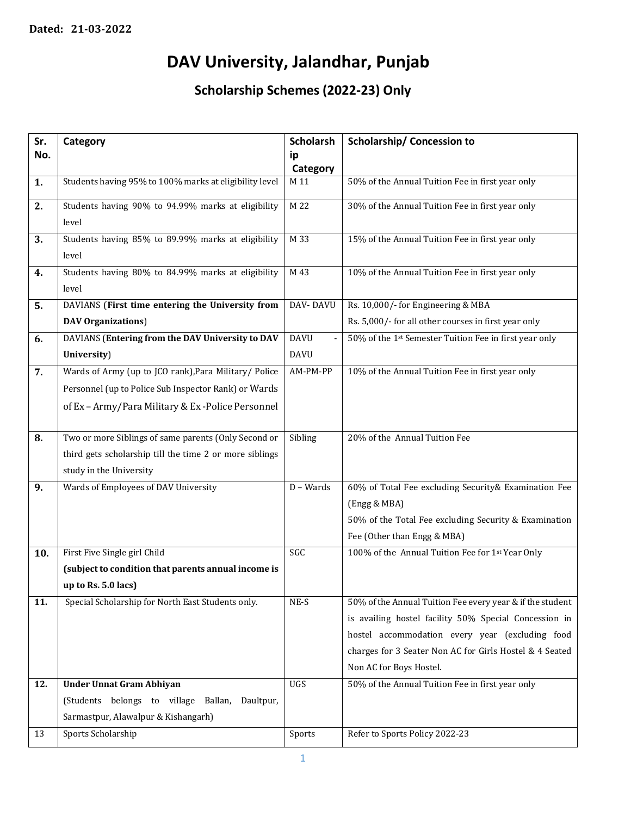## **DAV University, Jalandhar, Punjab**

**Scholarship Schemes (2022-23) Only**

| Sr. | Category                                                | <b>Scholarsh</b> | <b>Scholarship/ Concession to</b>                         |
|-----|---------------------------------------------------------|------------------|-----------------------------------------------------------|
| No. |                                                         | ip               |                                                           |
|     |                                                         | Category         |                                                           |
| 1.  | Students having 95% to 100% marks at eligibility level  | M 11             | 50% of the Annual Tuition Fee in first year only          |
| 2.  | Students having 90% to 94.99% marks at eligibility      | M 22             | 30% of the Annual Tuition Fee in first year only          |
|     | level                                                   |                  |                                                           |
| 3.  | Students having 85% to 89.99% marks at eligibility      | M 33             | 15% of the Annual Tuition Fee in first year only          |
|     | level                                                   |                  |                                                           |
| 4.  | Students having 80% to 84.99% marks at eligibility      | M 43             | 10% of the Annual Tuition Fee in first year only          |
|     | level                                                   |                  |                                                           |
| 5.  | DAVIANS (First time entering the University from        | DAV-DAVU         | Rs. 10,000/- for Engineering & MBA                        |
|     | <b>DAV Organizations</b> )                              |                  | Rs. 5,000/- for all other courses in first year only      |
| 6.  | DAVIANS (Entering from the DAV University to DAV        | <b>DAVU</b>      | 50% of the 1st Semester Tuition Fee in first year only    |
|     | University)                                             | <b>DAVU</b>      |                                                           |
| 7.  | Wards of Army (up to JCO rank), Para Military/ Police   | AM-PM-PP         | 10% of the Annual Tuition Fee in first year only          |
|     | Personnel (up to Police Sub Inspector Rank) or Wards    |                  |                                                           |
|     | of Ex - Army/Para Military & Ex-Police Personnel        |                  |                                                           |
|     |                                                         |                  |                                                           |
| 8.  | Two or more Siblings of same parents (Only Second or    | Sibling          | 20% of the Annual Tuition Fee                             |
|     | third gets scholarship till the time 2 or more siblings |                  |                                                           |
|     | study in the University                                 |                  |                                                           |
| 9.  | Wards of Employees of DAV University                    | D - Wards        | 60% of Total Fee excluding Security& Examination Fee      |
|     |                                                         |                  | (Engg & MBA)                                              |
|     |                                                         |                  | 50% of the Total Fee excluding Security & Examination     |
|     |                                                         |                  | Fee (Other than Engg & MBA)                               |
| 10. | First Five Single girl Child                            | SGC              | 100% of the Annual Tuition Fee for 1st Year Only          |
|     | (subject to condition that parents annual income is     |                  |                                                           |
|     | up to Rs. 5.0 lacs)                                     |                  |                                                           |
| 11. | Special Scholarship for North East Students only.       | $NE-S$           | 50% of the Annual Tuition Fee every year & if the student |
|     |                                                         |                  | is availing hostel facility 50% Special Concession in     |
|     |                                                         |                  | hostel accommodation every year (excluding food           |
|     |                                                         |                  | charges for 3 Seater Non AC for Girls Hostel & 4 Seated   |
|     |                                                         |                  | Non AC for Boys Hostel.                                   |
| 12. | <b>Under Unnat Gram Abhiyan</b>                         | UGS              | 50% of the Annual Tuition Fee in first year only          |
|     | (Students belongs to village Ballan,<br>Daultpur,       |                  |                                                           |
|     | Sarmastpur, Alawalpur & Kishangarh)                     |                  |                                                           |
| 13  | Sports Scholarship                                      | Sports           | Refer to Sports Policy 2022-23                            |